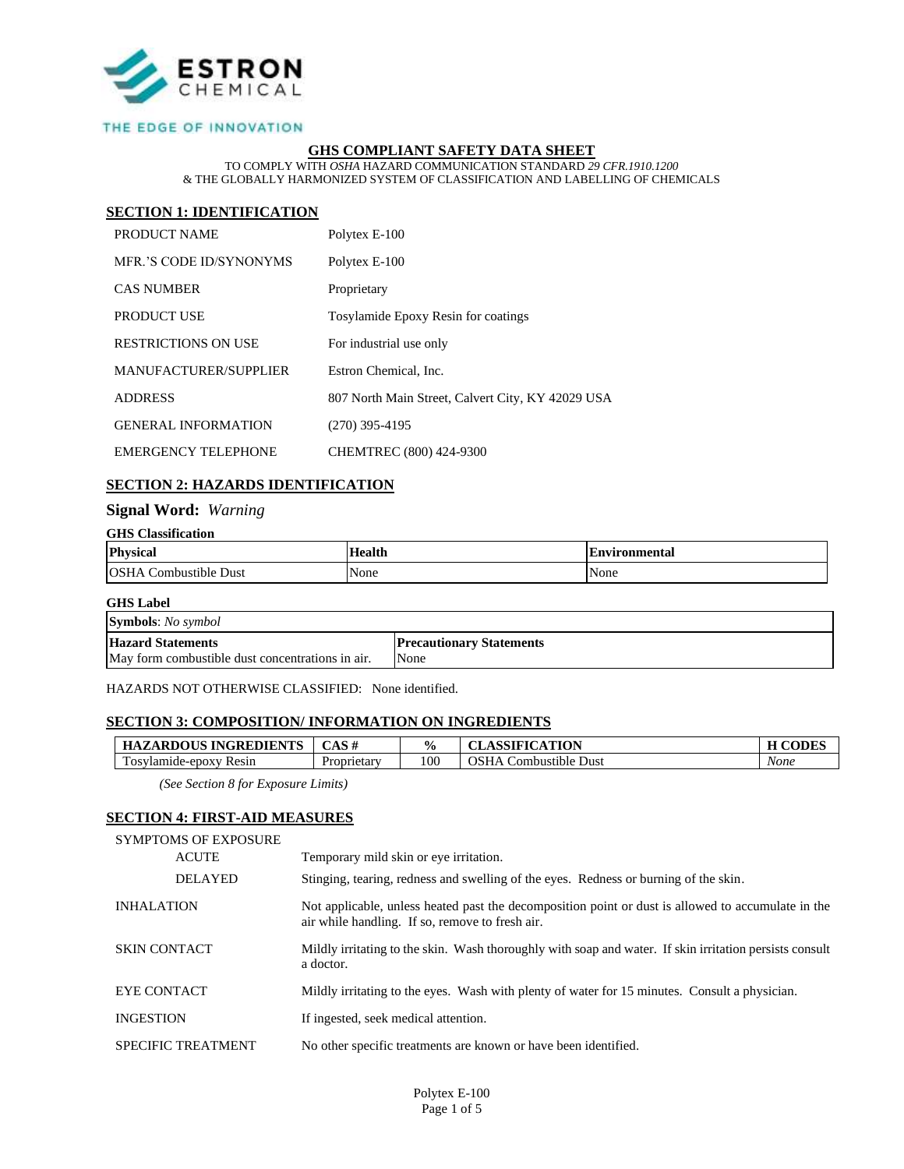

### THE EDGE OF INNOVATION

### **GHS COMPLIANT SAFETY DATA SHEET**

TO COMPLY WITH *OSHA* HAZARD COMMUNICATION STANDARD *29 CFR.1910.1200* & THE GLOBALLY HARMONIZED SYSTEM OF CLASSIFICATION AND LABELLING OF CHEMICALS

### **SECTION 1: IDENTIFICATION**

| PRODUCT NAME               | Polytex E-100                                     |
|----------------------------|---------------------------------------------------|
| MER.'S CODE ID/SYNONYMS    | Polytex E-100                                     |
| <b>CAS NUMBER</b>          | Proprietary                                       |
| PRODUCT USE                | <b>Tosylamide Epoxy Resin for coatings</b>        |
| <b>RESTRICTIONS ON USE</b> | For industrial use only                           |
| MANUFACTURER/SUPPLIER      | Estron Chemical, Inc.                             |
| <b>ADDRESS</b>             | 807 North Main Street, Calvert City, KY 42029 USA |
| <b>GENERAL INFORMATION</b> | $(270)$ 395-4195                                  |
| <b>EMERGENCY TELEPHONE</b> | CHEMTREC (800) 424-9300                           |

### **SECTION 2: HAZARDS IDENTIFICATION**

### **Signal Word:** *Warning*

#### **GHS Classification**

| <b>Physical</b>                     | $H_{00}$ <sub>ii</sub> | £nvironmental |
|-------------------------------------|------------------------|---------------|
| OSF<br>Combustible $\prime$<br>Dust | None                   | None          |

#### **GHS Label**

| <b>Symbols:</b> No symbol                        |                                 |  |
|--------------------------------------------------|---------------------------------|--|
| <b>Hazard Statements</b>                         | <b>Precautionary Statements</b> |  |
| May form combustible dust concentrations in air. | None                            |  |

HAZARDS NOT OTHERWISE CLASSIFIED: None identified.

#### **SECTION 3: COMPOSITION/ INFORMATION ON INGREDIENTS**

| <b>HAZARDOUS INGREDIENTS</b>     | CAS#        | $\frac{0}{0}$ | <b>ASSIFICATION</b>          |      |
|----------------------------------|-------------|---------------|------------------------------|------|
| Tosylamide-epoxy<br><b>Resin</b> | Proprietary | 100           | Dust<br>. Combustible<br>SHA | None |

*(See Section 8 for Exposure Limits)*

## **SECTION 4: FIRST-AID MEASURES**

| <b>SYMPTOMS OF EXPOSURE</b> |                                                                                                                                                       |
|-----------------------------|-------------------------------------------------------------------------------------------------------------------------------------------------------|
| <b>ACUTE</b>                | Temporary mild skin or eye irritation.                                                                                                                |
| <b>DELAYED</b>              | Stinging, tearing, redness and swelling of the eyes. Redness or burning of the skin.                                                                  |
| <b>INHALATION</b>           | Not applicable, unless heated past the decomposition point or dust is allowed to accumulate in the<br>air while handling. If so, remove to fresh air. |
| <b>SKIN CONTACT</b>         | Mildly irritating to the skin. Wash thoroughly with soap and water. If skin irritation persists consult<br>a doctor.                                  |
| EYE CONTACT                 | Mildly irritating to the eyes. Wash with plenty of water for 15 minutes. Consult a physician.                                                         |
| <b>INGESTION</b>            | If ingested, seek medical attention.                                                                                                                  |
| <b>SPECIFIC TREATMENT</b>   | No other specific treatments are known or have been identified.                                                                                       |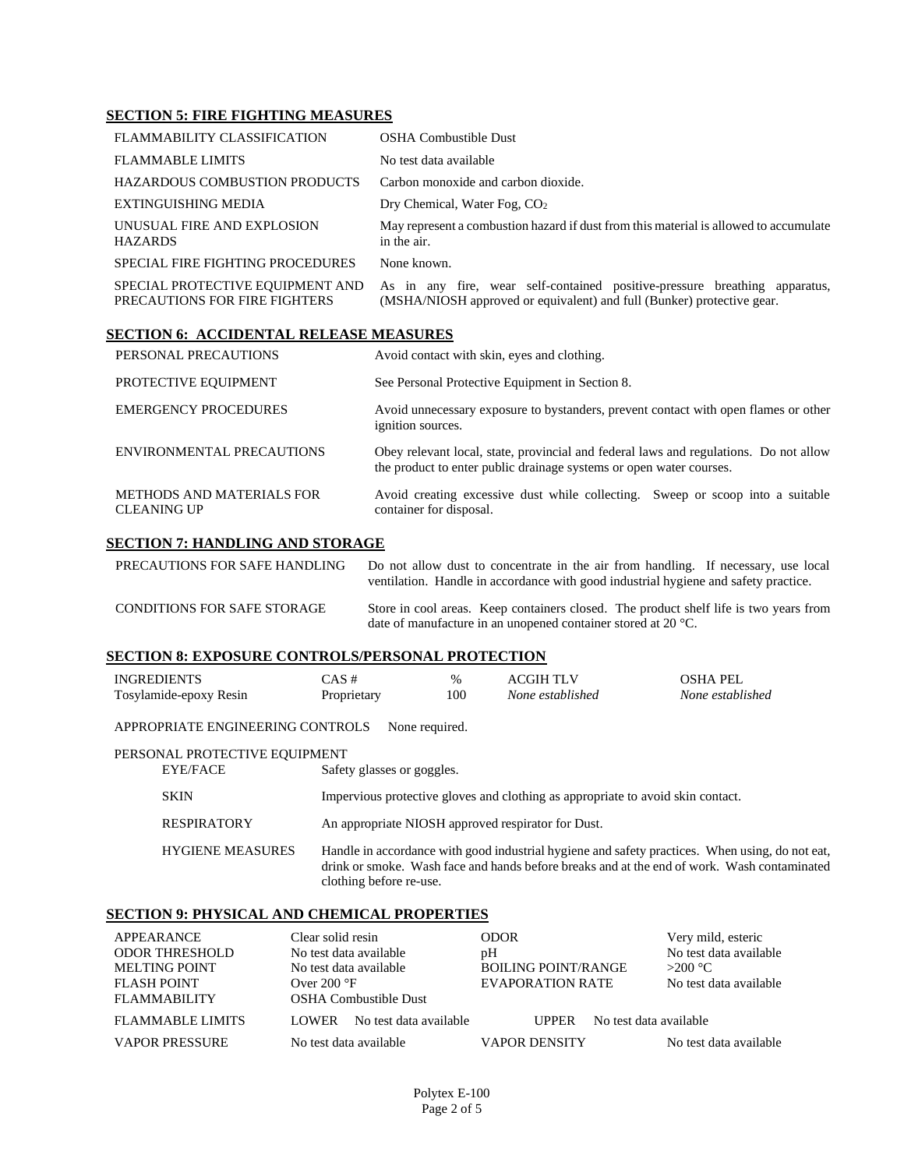### **SECTION 5: FIRE FIGHTING MEASURES**

| FLAMMABILITY CLASSIFICATION                                       | OSHA Combustible Dust                                                                                                                                |
|-------------------------------------------------------------------|------------------------------------------------------------------------------------------------------------------------------------------------------|
| <b>FLAMMABLE LIMITS</b>                                           | No test data available                                                                                                                               |
| <b>HAZARDOUS COMBUSTION PRODUCTS</b>                              | Carbon monoxide and carbon dioxide.                                                                                                                  |
| EXTINGUISHING MEDIA                                               | Dry Chemical, Water Fog, $CO2$                                                                                                                       |
| UNUSUAL FIRE AND EXPLOSION<br><b>HAZARDS</b>                      | May represent a combustion hazard if dust from this material is allowed to accumulate<br>in the air.                                                 |
| SPECIAL FIRE FIGHTING PROCEDURES                                  | None known.                                                                                                                                          |
| SPECIAL PROTECTIVE EQUIPMENT AND<br>PRECAUTIONS FOR FIRE FIGHTERS | As in any fire, wear self-contained positive-pressure breathing apparatus,<br>(MSHA/NIOSH approved or equivalent) and full (Bunker) protective gear. |

## **SECTION 6: ACCIDENTAL RELEASE MEASURES**

| PERSONAL PRECAUTIONS                            | Avoid contact with skin, eyes and clothing.                                                                                                                  |
|-------------------------------------------------|--------------------------------------------------------------------------------------------------------------------------------------------------------------|
| PROTECTIVE EQUIPMENT                            | See Personal Protective Equipment in Section 8.                                                                                                              |
| <b>EMERGENCY PROCEDURES</b>                     | Avoid unnecessary exposure to bystanders, prevent contact with open flames or other<br>ignition sources.                                                     |
| ENVIRONMENTAL PRECAUTIONS                       | Obey relevant local, state, provincial and federal laws and regulations. Do not allow<br>the product to enter public drainage systems or open water courses. |
| METHODS AND MATERIALS FOR<br><b>CLEANING UP</b> | Avoid creating excessive dust while collecting. Sweep or scoop into a suitable<br>container for disposal.                                                    |

### **SECTION 7: HANDLING AND STORAGE**

| PRECAUTIONS FOR SAFE HANDLING      | Do not allow dust to concentrate in the air from handling. If necessary, use local<br>ventilation. Handle in accordance with good industrial hygiene and safety practice. |
|------------------------------------|---------------------------------------------------------------------------------------------------------------------------------------------------------------------------|
| <b>CONDITIONS FOR SAFE STORAGE</b> | Store in cool areas. Keep containers closed. The product shelf life is two years from<br>date of manufacture in an unopened container stored at 20 $^{\circ}$ C.          |

### **SECTION 8: EXPOSURE CONTROLS/PERSONAL PROTECTION**

| INGREDIENTS                      | $CAS \#$                                           | $\%$ | <b>ACGIH TLV</b>                                                                                                                                                                               | OSHA PEL         |
|----------------------------------|----------------------------------------------------|------|------------------------------------------------------------------------------------------------------------------------------------------------------------------------------------------------|------------------|
| Tosylamide-epoxy Resin           | Proprietary                                        | 100  | None established                                                                                                                                                                               | None established |
| APPROPRIATE ENGINEERING CONTROLS | None required.                                     |      |                                                                                                                                                                                                |                  |
| PERSONAL PROTECTIVE EOUIPMENT    |                                                    |      |                                                                                                                                                                                                |                  |
| <b>EYE/FACE</b>                  | Safety glasses or goggles.                         |      |                                                                                                                                                                                                |                  |
| <b>SKIN</b>                      |                                                    |      | Impervious protective gloves and clothing as appropriate to avoid skin contact.                                                                                                                |                  |
| <b>RESPIRATORY</b>               | An appropriate NIOSH approved respirator for Dust. |      |                                                                                                                                                                                                |                  |
| <b>HYGIENE MEASURES</b>          | clothing before re-use.                            |      | Handle in accordance with good industrial hygiene and safety practices. When using, do not eat,<br>drink or smoke. Wash face and hands before breaks and at the end of work. Wash contaminated |                  |

### **SECTION 9: PHYSICAL AND CHEMICAL PROPERTIES**

| APPEARANCE              | Clear solid resin                | <b>ODOR</b>                            | Very mild, esteric     |
|-------------------------|----------------------------------|----------------------------------------|------------------------|
| <b>ODOR THRESHOLD</b>   | No test data available           | pH                                     | No test data available |
| <b>MELTING POINT</b>    | No test data available           | <b>BOILING POINT/RANGE</b>             | $>200$ °C              |
| <b>FLASH POINT</b>      | Over $200^{\circ}F$              | EVAPORATION RATE                       | No test data available |
| <b>FLAMMABILITY</b>     | <b>OSHA Combustible Dust</b>     |                                        |                        |
| <b>FLAMMABLE LIMITS</b> | No test data available<br>LOWER. | No test data available<br><b>UPPER</b> |                        |
| <b>VAPOR PRESSURE</b>   | No test data available           | <b>VAPOR DENSITY</b>                   | No test data available |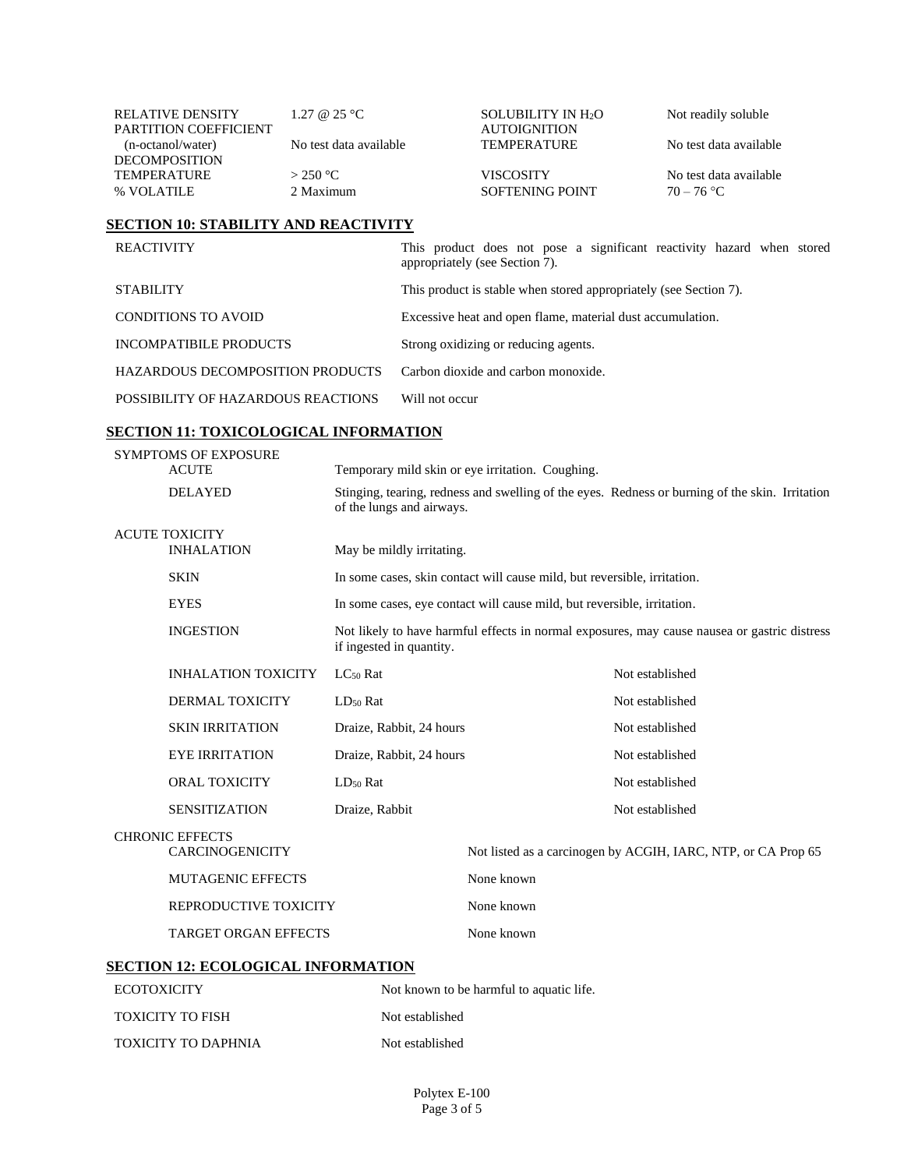| <b>RELATIVE DENSITY</b><br><b>PARTITION COEFFICIENT</b> | 1.27 @ 25 °C           | <b>SOLUBILITY IN H<sub>2</sub>O</b><br><b>AUTOIGNITION</b> | Not readily soluble    |
|---------------------------------------------------------|------------------------|------------------------------------------------------------|------------------------|
| (n-octanol/water)                                       | No test data available | <b>TEMPERATURE</b>                                         | No test data available |
| <b>DECOMPOSITION</b><br><b>TEMPERATURE</b>              | $>$ 2.50 °C.           | VISCOSITY                                                  | No test data available |
| % VOLATILE                                              | 2 Maximum              | SOFTENING POINT                                            | $70 - 76$ °C           |

### **SECTION 10: STABILITY AND REACTIVITY**

| <b>REACTIVITY</b>                  | This product does not pose a significant reactivity hazard when stored<br>appropriately (see Section 7). |
|------------------------------------|----------------------------------------------------------------------------------------------------------|
| <b>STABILITY</b>                   | This product is stable when stored appropriately (see Section 7).                                        |
| <b>CONDITIONS TO AVOID</b>         | Excessive heat and open flame, material dust accumulation.                                               |
| INCOMPATIBILE PRODUCTS             | Strong oxidizing or reducing agents.                                                                     |
| HAZARDOUS DECOMPOSITION PRODUCTS   | Carbon dioxide and carbon monoxide.                                                                      |
| POSSIBILITY OF HAZARDOUS REACTIONS | Will not occur                                                                                           |

# **SECTION 11: TOXICOLOGICAL INFORMATION**

TOXICITY TO DAPHNIA Not established

| <b>SYMPTOMS OF EXPOSURE</b><br><b>ACUTE</b> |                                                  | Temporary mild skin or eye irritation. Coughing.                                                                         |                                          |                                                                                                 |  |
|---------------------------------------------|--------------------------------------------------|--------------------------------------------------------------------------------------------------------------------------|------------------------------------------|-------------------------------------------------------------------------------------------------|--|
|                                             | <b>DELAYED</b>                                   | of the lungs and airways.                                                                                                |                                          | Stinging, tearing, redness and swelling of the eyes. Redness or burning of the skin. Irritation |  |
| <b>ACUTE TOXICITY</b><br><b>INHALATION</b>  |                                                  | May be mildly irritating.                                                                                                |                                          |                                                                                                 |  |
|                                             | <b>SKIN</b>                                      | In some cases, skin contact will cause mild, but reversible, irritation.                                                 |                                          |                                                                                                 |  |
|                                             | <b>EYES</b>                                      | In some cases, eye contact will cause mild, but reversible, irritation.                                                  |                                          |                                                                                                 |  |
|                                             | <b>INGESTION</b>                                 | Not likely to have harmful effects in normal exposures, may cause nausea or gastric distress<br>if ingested in quantity. |                                          |                                                                                                 |  |
|                                             | <b>INHALATION TOXICITY</b>                       | $LC_{50}$ Rat                                                                                                            |                                          | Not established                                                                                 |  |
|                                             | DERMAL TOXICITY                                  | $LD_{50}$ Rat                                                                                                            |                                          | Not established                                                                                 |  |
|                                             | <b>SKIN IRRITATION</b>                           | Draize, Rabbit, 24 hours                                                                                                 |                                          | Not established                                                                                 |  |
|                                             | <b>EYE IRRITATION</b>                            | Draize, Rabbit, 24 hours                                                                                                 |                                          | Not established                                                                                 |  |
|                                             | <b>ORAL TOXICITY</b>                             | $LD50$ Rat                                                                                                               |                                          | Not established                                                                                 |  |
|                                             | <b>SENSITIZATION</b>                             | Draize, Rabbit                                                                                                           |                                          | Not established                                                                                 |  |
|                                             | <b>CHRONIC EFFECTS</b><br><b>CARCINOGENICITY</b> |                                                                                                                          |                                          | Not listed as a carcinogen by ACGIH, IARC, NTP, or CA Prop 65                                   |  |
|                                             | <b>MUTAGENIC EFFECTS</b>                         |                                                                                                                          | None known                               |                                                                                                 |  |
|                                             | REPRODUCTIVE TOXICITY                            |                                                                                                                          | None known                               |                                                                                                 |  |
|                                             | <b>TARGET ORGAN EFFECTS</b>                      |                                                                                                                          | None known                               |                                                                                                 |  |
|                                             | <b>SECTION 12: ECOLOGICAL INFORMATION</b>        |                                                                                                                          |                                          |                                                                                                 |  |
| <b>ECOTOXICITY</b>                          |                                                  |                                                                                                                          | Not known to be harmful to aquatic life. |                                                                                                 |  |
| <b>TOXICITY TO FISH</b>                     |                                                  |                                                                                                                          | Not established                          |                                                                                                 |  |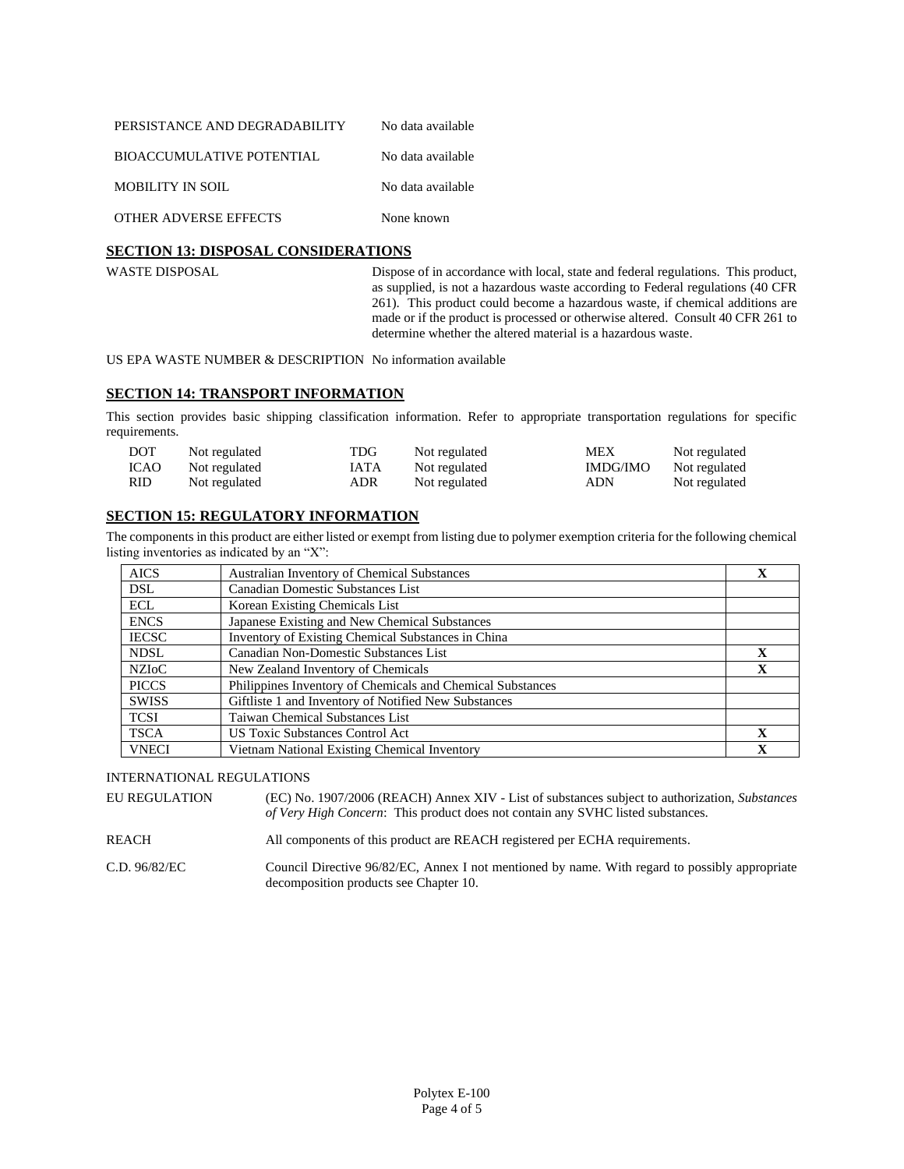| PERSISTANCE AND DEGRADABILITY | No data available |
|-------------------------------|-------------------|
| BIOACCUMULATIVE POTENTIAL     | No data available |
| <b>MOBILITY IN SOIL</b>       | No data available |
| <b>OTHER ADVERSE EFFECTS</b>  | None known        |

### **SECTION 13: DISPOSAL CONSIDERATIONS**

WASTE DISPOSAL Dispose of in accordance with local, state and federal regulations. This product, as supplied, is not a hazardous waste according to Federal regulations (40 CFR 261). This product could become a hazardous waste, if chemical additions are made or if the product is processed or otherwise altered. Consult 40 CFR 261 to determine whether the altered material is a hazardous waste.

US EPA WASTE NUMBER & DESCRIPTION No information available

#### **SECTION 14: TRANSPORT INFORMATION**

This section provides basic shipping classification information. Refer to appropriate transportation regulations for specific requirements.

| <b>DOT</b> | Not regulated | TDG  | Not regulated | MEX      | Not regulated |
|------------|---------------|------|---------------|----------|---------------|
| ICAO       | Not regulated | IATA | Not regulated | IMDG/IMO | Not regulated |
| RID.       | Not regulated | ADR  | Not regulated | ADN      | Not regulated |

### **SECTION 15: REGULATORY INFORMATION**

The components in this product are either listed or exempt from listing due to polymer exemption criteria for the following chemical listing inventories as indicated by an "X":

| <b>AICS</b>  | <b>Australian Inventory of Chemical Substances</b>         | X           |
|--------------|------------------------------------------------------------|-------------|
| <b>DSL</b>   | Canadian Domestic Substances List                          |             |
| ECL          | Korean Existing Chemicals List                             |             |
| <b>ENCS</b>  | Japanese Existing and New Chemical Substances              |             |
| <b>IECSC</b> | Inventory of Existing Chemical Substances in China         |             |
| <b>NDSL</b>  | Canadian Non-Domestic Substances List                      | $\mathbf x$ |
| <b>NZIOC</b> | New Zealand Inventory of Chemicals                         | $\mathbf X$ |
| <b>PICCS</b> | Philippines Inventory of Chemicals and Chemical Substances |             |
| <b>SWISS</b> | Giftliste 1 and Inventory of Notified New Substances       |             |
| <b>TCSI</b>  | Taiwan Chemical Substances List                            |             |
| <b>TSCA</b>  | <b>US Toxic Substances Control Act</b>                     | $\mathbf X$ |
| <b>VNECI</b> | Vietnam National Existing Chemical Inventory               | $\mathbf x$ |

### INTERNATIONAL REGULATIONS

EU REGULATION (EC) No. 1907/2006 (REACH) Annex XIV - List of substances subject to authorization, *Substances of Very High Concern*: This product does not contain any SVHC listed substances.

REACH All components of this product are REACH registered per ECHA requirements.

C.D. 96/82/EC Council Directive 96/82/EC, Annex I not mentioned by name. With regard to possibly appropriate decomposition products see Chapter 10.